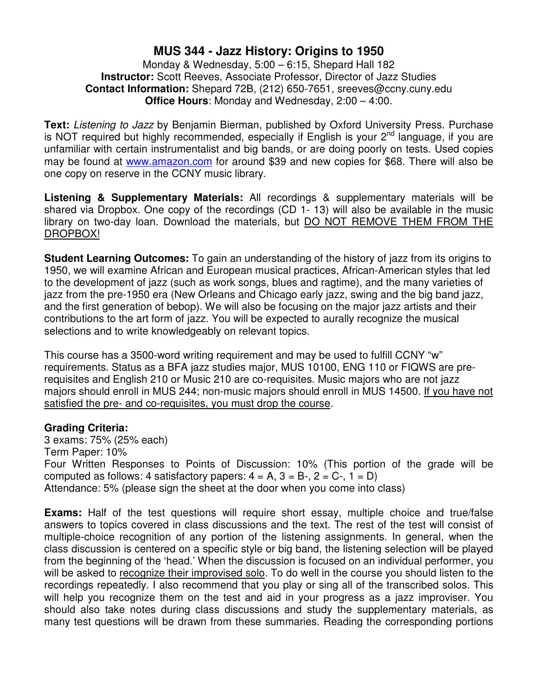# **MUS 344 - Jazz History: Origins to 1950**

### Monday & Wednesday, 5:00 – 6:15, Shepard Hall 182 **Instructor:** Scott Reeves, Associate Professor, Director of Jazz Studies **Contact Information:** Shepard 72B, (212) 650-7651, sreeves@ccny.cuny.edu **Office Hours**: Monday and Wednesday, 2:00 – 4:00.

Text: Listening to Jazz by Benjamin Bierman, published by Oxford University Press. Purchase is NOT required but highly recommended, especially if English is your 2<sup>nd</sup> language, if you are unfamiliar with certain instrumentalist and big bands, or are doing poorly on tests. Used copies may be found at www.amazon.com for around \$39 and new copies for \$68. There will also be one copy on reserve in the CCNY music library.

**Listening & Supplementary Materials:** All recordings & supplementary materials will be shared via Dropbox. One copy of the recordings (CD 1- 13) will also be available in the music library on two-day loan. Download the materials, but DO NOT REMOVE THEM FROM THE DROPBOX!

**Student Learning Outcomes:** To gain an understanding of the history of jazz from its origins to 1950, we will examine African and European musical practices, African-American styles that led to the development of jazz (such as work songs, blues and ragtime), and the many varieties of jazz from the pre-1950 era (New Orleans and Chicago early jazz, swing and the big band jazz, and the first generation of bebop). We will also be focusing on the major jazz artists and their contributions to the art form of jazz. You will be expected to aurally recognize the musical selections and to write knowledgeably on relevant topics.

This course has a 3500-word writing requirement and may be used to fulfill CCNY "w" requirements. Status as a BFA jazz studies major, MUS 10100, ENG 110 or FIQWS are prerequisites and English 210 or Music 210 are co-requisites. Music majors who are not jazz majors should enroll in MUS 244; non-music majors should enroll in MUS 14500. If you have not satisfied the pre- and co-requisites, you must drop the course.

### **Grading Criteria:**

3 exams: 75% (25% each) Term Paper: 10% Four Written Responses to Points of Discussion: 10% (This portion of the grade will be computed as follows: 4 satisfactory papers:  $4 = A$ ,  $3 = B$ -,  $2 = C$ -,  $1 = D$ ) Attendance: 5% (please sign the sheet at the door when you come into class)

**Exams:** Half of the test questions will require short essay, multiple choice and true/false answers to topics covered in class discussions and the text. The rest of the test will consist of multiple-choice recognition of any portion of the listening assignments. In general, when the class discussion is centered on a specific style or big band, the listening selection will be played from the beginning of the 'head.' When the discussion is focused on an individual performer, you will be asked to recognize their improvised solo. To do well in the course you should listen to the recordings repeatedly. I also recommend that you play or sing all of the transcribed solos. This will help you recognize them on the test and aid in your progress as a jazz improviser. You should also take notes during class discussions and study the supplementary materials, as many test questions will be drawn from these summaries. Reading the corresponding portions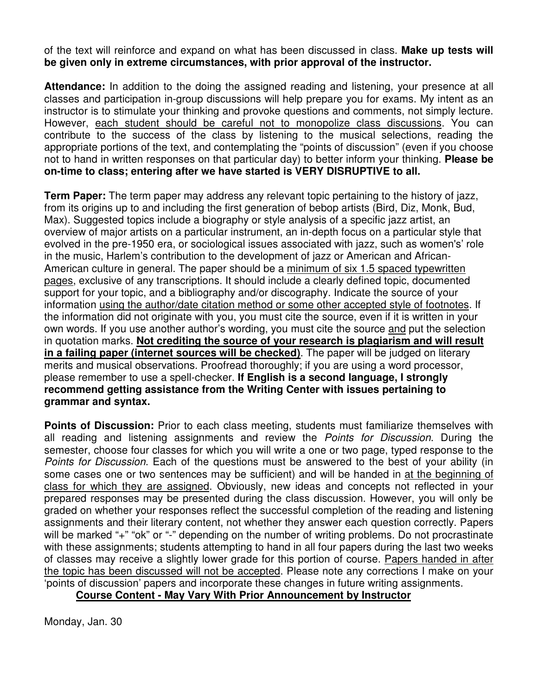of the text will reinforce and expand on what has been discussed in class. **Make up tests will be given only in extreme circumstances, with prior approval of the instructor.** 

**Attendance:** In addition to the doing the assigned reading and listening, your presence at all classes and participation in-group discussions will help prepare you for exams. My intent as an instructor is to stimulate your thinking and provoke questions and comments, not simply lecture. However, each student should be careful not to monopolize class discussions. You can contribute to the success of the class by listening to the musical selections, reading the appropriate portions of the text, and contemplating the "points of discussion" (even if you choose not to hand in written responses on that particular day) to better inform your thinking. **Please be on-time to class; entering after we have started is VERY DISRUPTIVE to all.** 

**Term Paper:** The term paper may address any relevant topic pertaining to the history of jazz, from its origins up to and including the first generation of bebop artists (Bird, Diz, Monk, Bud, Max). Suggested topics include a biography or style analysis of a specific jazz artist, an overview of major artists on a particular instrument, an in-depth focus on a particular style that evolved in the pre-1950 era, or sociological issues associated with jazz, such as women's' role in the music, Harlem's contribution to the development of jazz or American and African-American culture in general. The paper should be a minimum of six 1.5 spaced typewritten pages, exclusive of any transcriptions. It should include a clearly defined topic, documented support for your topic, and a bibliography and/or discography. Indicate the source of your information using the author/date citation method or some other accepted style of footnotes. If the information did not originate with you, you must cite the source, even if it is written in your own words. If you use another author's wording, you must cite the source and put the selection in quotation marks. **Not crediting the source of your research is plagiarism and will result in a failing paper (internet sources will be checked)**. The paper will be judged on literary merits and musical observations. Proofread thoroughly; if you are using a word processor, please remember to use a spell-checker. **If English is a second language, I strongly recommend getting assistance from the Writing Center with issues pertaining to grammar and syntax.** 

**Points of Discussion:** Prior to each class meeting, students must familiarize themselves with all reading and listening assignments and review the *Points for Discussion*. During the semester, choose four classes for which you will write a one or two page, typed response to the Points for Discussion. Each of the questions must be answered to the best of your ability (in some cases one or two sentences may be sufficient) and will be handed in at the beginning of class for which they are assigned. Obviously, new ideas and concepts not reflected in your prepared responses may be presented during the class discussion. However, you will only be graded on whether your responses reflect the successful completion of the reading and listening assignments and their literary content, not whether they answer each question correctly. Papers will be marked "+" "ok" or "-" depending on the number of writing problems. Do not procrastinate with these assignments; students attempting to hand in all four papers during the last two weeks of classes may receive a slightly lower grade for this portion of course. Papers handed in after the topic has been discussed will not be accepted. Please note any corrections I make on your 'points of discussion' papers and incorporate these changes in future writing assignments.

### **Course Content - May Vary With Prior Announcement by Instructor**

Monday, Jan. 30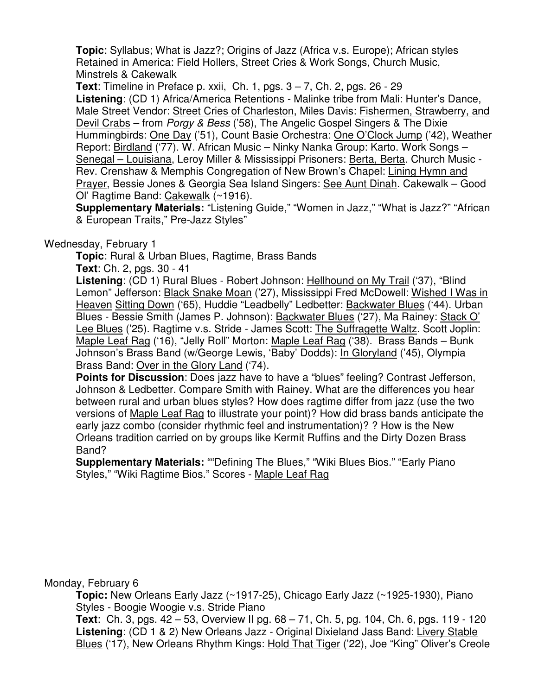**Topic**: Syllabus; What is Jazz?; Origins of Jazz (Africa v.s. Europe); African styles Retained in America: Field Hollers, Street Cries & Work Songs, Church Music, Minstrels & Cakewalk

**Text**: Timeline in Preface p. xxii, Ch. 1, pgs. 3 – 7, Ch. 2, pgs. 26 - 29 **Listening**: (CD 1) Africa/America Retentions - Malinke tribe from Mali: Hunter's Dance, Male Street Vendor: Street Cries of Charleston, Miles Davis: Fishermen, Strawberry, and Devil Crabs – from Porgy & Bess ('58), The Angelic Gospel Singers & The Dixie Hummingbirds: One Day ('51), Count Basie Orchestra: One O'Clock Jump ('42), Weather Report: Birdland ('77). W. African Music – Ninky Nanka Group: Karto. Work Songs – Senegal – Louisiana, Leroy Miller & Mississippi Prisoners: Berta, Berta. Church Music - Rev. Crenshaw & Memphis Congregation of New Brown's Chapel: Lining Hymn and Prayer, Bessie Jones & Georgia Sea Island Singers: See Aunt Dinah. Cakewalk – Good Ol' Ragtime Band: Cakewalk (~1916).

**Supplementary Materials:** "Listening Guide," "Women in Jazz," "What is Jazz?" "African & European Traits," Pre-Jazz Styles"

# Wednesday, February 1

**Topic**: Rural & Urban Blues, Ragtime, Brass Bands

**Text**: Ch. 2, pgs. 30 - 41

**Listening**: (CD 1) Rural Blues - Robert Johnson: Hellhound on My Trail ('37), "Blind Lemon" Jefferson: Black Snake Moan ('27), Mississippi Fred McDowell: Wished I Was in Heaven Sitting Down ('65), Huddie "Leadbelly" Ledbetter: Backwater Blues ('44). Urban Blues - Bessie Smith (James P. Johnson): Backwater Blues ('27), Ma Rainey: Stack O' Lee Blues ('25). Ragtime v.s. Stride - James Scott: The Suffragette Waltz. Scott Joplin: Maple Leaf Rag ('16), "Jelly Roll" Morton: Maple Leaf Rag ('38). Brass Bands - Bunk Johnson's Brass Band (w/George Lewis, 'Baby' Dodds): In Gloryland ('45), Olympia Brass Band: Over in the Glory Land ('74).

**Points for Discussion**: Does jazz have to have a "blues" feeling? Contrast Jefferson, Johnson & Ledbetter. Compare Smith with Rainey. What are the differences you hear between rural and urban blues styles? How does ragtime differ from jazz (use the two versions of Maple Leaf Rag to illustrate your point)? How did brass bands anticipate the early jazz combo (consider rhythmic feel and instrumentation)? ? How is the New Orleans tradition carried on by groups like Kermit Ruffins and the Dirty Dozen Brass Band?

**Supplementary Materials:** ""Defining The Blues," "Wiki Blues Bios." "Early Piano Styles," "Wiki Ragtime Bios." Scores - Maple Leaf Rag

### Monday, February 6

**Topic:** New Orleans Early Jazz (~1917-25), Chicago Early Jazz (~1925-1930), Piano Styles - Boogie Woogie v.s. Stride Piano

 **Text**: Ch. 3, pgs. 42 – 53, Overview II pg. 68 – 71, Ch. 5, pg. 104, Ch. 6, pgs. 119 - 120 **Listening**: (CD 1 & 2) New Orleans Jazz - Original Dixieland Jass Band: Livery Stable Blues ('17), New Orleans Rhythm Kings: Hold That Tiger ('22), Joe "King" Oliver's Creole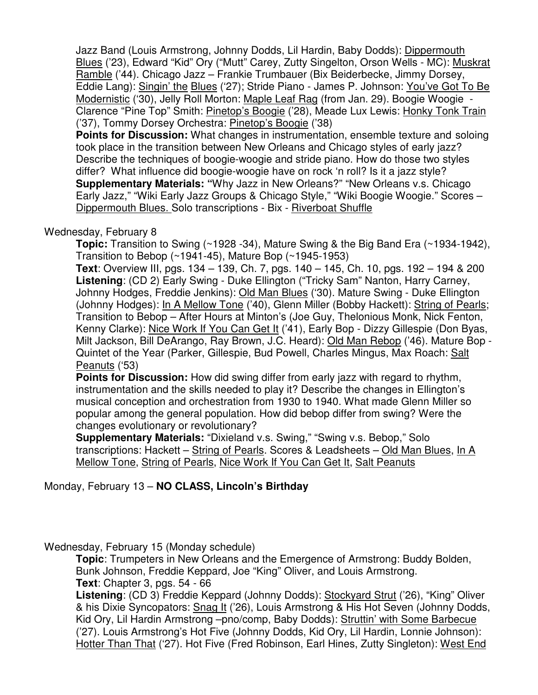Jazz Band (Louis Armstrong, Johnny Dodds, Lil Hardin, Baby Dodds): Dippermouth Blues ('23), Edward "Kid" Ory ("Mutt" Carey, Zutty Singelton, Orson Wells - MC): Muskrat Ramble ('44). Chicago Jazz – Frankie Trumbauer (Bix Beiderbecke, Jimmy Dorsey, Eddie Lang): Singin' the Blues ('27); Stride Piano - James P. Johnson: You've Got To Be Modernistic ('30), Jelly Roll Morton: Maple Leaf Rag (from Jan. 29). Boogie Woogie - Clarence "Pine Top" Smith: Pinetop's Boogie ('28), Meade Lux Lewis: Honky Tonk Train ('37), Tommy Dorsey Orchestra: Pinetop's Boogie ('38)

**Points for Discussion:** What changes in instrumentation, ensemble texture and soloing took place in the transition between New Orleans and Chicago styles of early jazz? Describe the techniques of boogie-woogie and stride piano. How do those two styles differ? What influence did boogie-woogie have on rock 'n roll? Is it a jazz style? **Supplementary Materials: "**Why Jazz in New Orleans?" "New Orleans v.s. Chicago Early Jazz," "Wiki Early Jazz Groups & Chicago Style," "Wiki Boogie Woogie." Scores – Dippermouth Blues. Solo transcriptions - Bix - Riverboat Shuffle

# Wednesday, February 8

**Topic:** Transition to Swing (~1928 -34), Mature Swing & the Big Band Era (~1934-1942), Transition to Bebop (~1941-45), Mature Bop (~1945-1953)

 **Text**: Overview III, pgs. 134 – 139, Ch. 7, pgs. 140 – 145, Ch. 10, pgs. 192 – 194 & 200 **Listening**: (CD 2) Early Swing - Duke Ellington ("Tricky Sam" Nanton, Harry Carney, Johnny Hodges, Freddie Jenkins): Old Man Blues ('30). Mature Swing - Duke Ellington (Johnny Hodges): In A Mellow Tone ('40), Glenn Miller (Bobby Hackett): String of Pearls; Transition to Bebop – After Hours at Minton's (Joe Guy, Thelonious Monk, Nick Fenton, Kenny Clarke): Nice Work If You Can Get It ('41), Early Bop - Dizzy Gillespie (Don Byas, Milt Jackson, Bill DeArango, Ray Brown, J.C. Heard): Old Man Rebop ('46). Mature Bop - Quintet of the Year (Parker, Gillespie, Bud Powell, Charles Mingus, Max Roach: Salt Peanuts ('53)

**Points for Discussion:** How did swing differ from early jazz with regard to rhythm, instrumentation and the skills needed to play it? Describe the changes in Ellington's musical conception and orchestration from 1930 to 1940. What made Glenn Miller so popular among the general population. How did bebop differ from swing? Were the changes evolutionary or revolutionary?

**Supplementary Materials:** "Dixieland v.s. Swing," "Swing v.s. Bebop," Solo transcriptions: Hackett – String of Pearls. Scores & Leadsheets – Old Man Blues, In A Mellow Tone, String of Pearls, Nice Work If You Can Get It, Salt Peanuts

# Monday, February 13 – **NO CLASS, Lincoln's Birthday**

Wednesday, February 15 (Monday schedule)

**Topic**: Trumpeters in New Orleans and the Emergence of Armstrong: Buddy Bolden, Bunk Johnson, Freddie Keppard, Joe "King" Oliver, and Louis Armstrong. **Text**: Chapter 3, pgs. 54 - 66

**Listening**: (CD 3) Freddie Keppard (Johnny Dodds): Stockyard Strut ('26), "King" Oliver & his Dixie Syncopators: Snag It ('26), Louis Armstrong & His Hot Seven (Johnny Dodds, Kid Ory, Lil Hardin Armstrong –pno/comp, Baby Dodds): Struttin' with Some Barbecue ('27). Louis Armstrong's Hot Five (Johnny Dodds, Kid Ory, Lil Hardin, Lonnie Johnson): Hotter Than That ('27). Hot Five (Fred Robinson, Earl Hines, Zutty Singleton): West End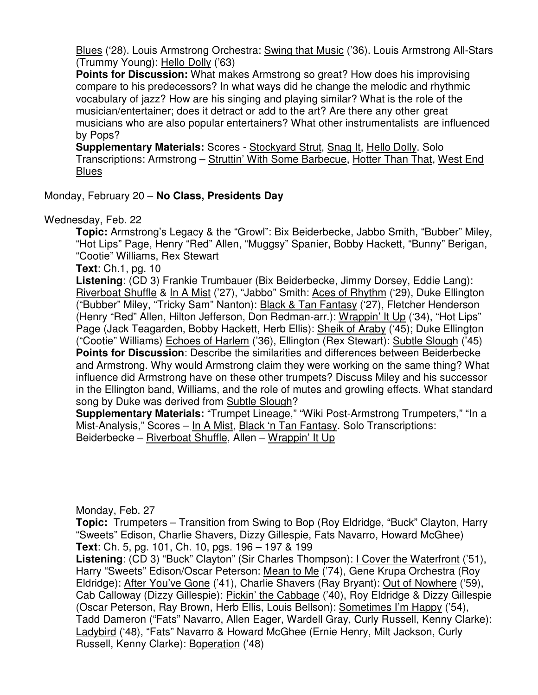Blues ('28). Louis Armstrong Orchestra: Swing that Music ('36). Louis Armstrong All-Stars (Trummy Young): Hello Dolly ('63)

**Points for Discussion:** What makes Armstrong so great? How does his improvising compare to his predecessors? In what ways did he change the melodic and rhythmic vocabulary of jazz? How are his singing and playing similar? What is the role of the musician/entertainer; does it detract or add to the art? Are there any other great musicians who are also popular entertainers? What other instrumentalists are influenced by Pops?

**Supplementary Materials:** Scores - Stockyard Strut, Snag It, Hello Dolly. Solo Transcriptions: Armstrong – Struttin' With Some Barbecue, Hotter Than That, West End **Blues** 

Monday, February 20 – **No Class, Presidents Day**

Wednesday, Feb. 22

**Topic:** Armstrong's Legacy & the "Growl": Bix Beiderbecke, Jabbo Smith, "Bubber" Miley, "Hot Lips" Page, Henry "Red" Allen, "Muggsy" Spanier, Bobby Hackett, "Bunny" Berigan, "Cootie" Williams, Rex Stewart

**Text**: Ch.1, pg. 10

**Listening**: (CD 3) Frankie Trumbauer (Bix Beiderbecke, Jimmy Dorsey, Eddie Lang): Riverboat Shuffle & In A Mist ('27), "Jabbo" Smith: Aces of Rhythm ('29), Duke Ellington ("Bubber" Miley, "Tricky Sam" Nanton): Black & Tan Fantasy ('27), Fletcher Henderson (Henry "Red" Allen, Hilton Jefferson, Don Redman-arr.): Wrappin' It Up ('34), "Hot Lips" Page (Jack Teagarden, Bobby Hackett, Herb Ellis): Sheik of Araby ('45); Duke Ellington ("Cootie" Williams) Echoes of Harlem ('36), Ellington (Rex Stewart): Subtle Slough ('45) **Points for Discussion**: Describe the similarities and differences between Beiderbecke and Armstrong. Why would Armstrong claim they were working on the same thing? What influence did Armstrong have on these other trumpets? Discuss Miley and his successor in the Ellington band, Williams, and the role of mutes and growling effects. What standard song by Duke was derived from Subtle Slough?

**Supplementary Materials:** "Trumpet Lineage," "Wiki Post-Armstrong Trumpeters," "In a Mist-Analysis," Scores – In A Mist, Black 'n Tan Fantasy. Solo Transcriptions: Beiderbecke – Riverboat Shuffle, Allen – Wrappin' It Up

Monday, Feb. 27

**Topic:** Trumpeters – Transition from Swing to Bop (Roy Eldridge, "Buck" Clayton, Harry "Sweets" Edison, Charlie Shavers, Dizzy Gillespie, Fats Navarro, Howard McGhee) **Text**: Ch. 5, pg. 101, Ch. 10, pgs. 196 – 197 & 199

**Listening**: (CD 3) "Buck" Clayton" (Sir Charles Thompson): I Cover the Waterfront ('51), Harry "Sweets" Edison/Oscar Peterson: Mean to Me ('74), Gene Krupa Orchestra (Roy Eldridge): After You've Gone ('41), Charlie Shavers (Ray Bryant): Out of Nowhere ('59), Cab Calloway (Dizzy Gillespie): Pickin' the Cabbage ('40), Roy Eldridge & Dizzy Gillespie (Oscar Peterson, Ray Brown, Herb Ellis, Louis Bellson): Sometimes I'm Happy ('54), Tadd Dameron ("Fats" Navarro, Allen Eager, Wardell Gray, Curly Russell, Kenny Clarke): Ladybird ('48), "Fats" Navarro & Howard McGhee (Ernie Henry, Milt Jackson, Curly Russell, Kenny Clarke): Boperation ('48)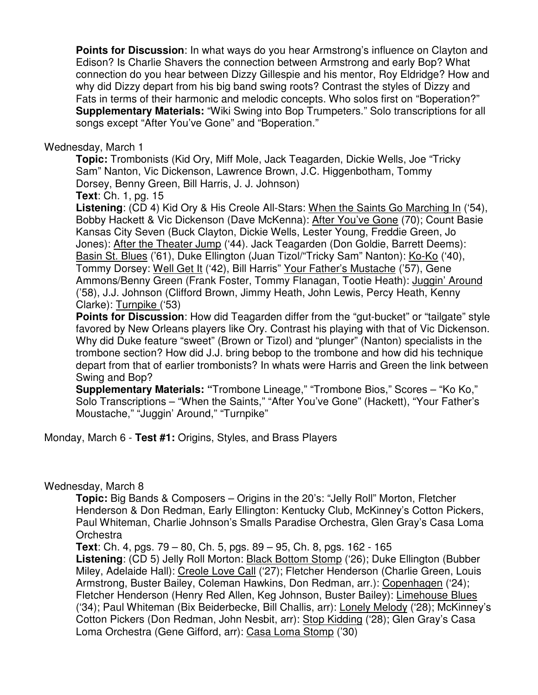**Points for Discussion**: In what ways do you hear Armstrong's influence on Clayton and Edison? Is Charlie Shavers the connection between Armstrong and early Bop? What connection do you hear between Dizzy Gillespie and his mentor, Roy Eldridge? How and why did Dizzy depart from his big band swing roots? Contrast the styles of Dizzy and Fats in terms of their harmonic and melodic concepts. Who solos first on "Boperation?" **Supplementary Materials:** "Wiki Swing into Bop Trumpeters." Solo transcriptions for all songs except "After You've Gone" and "Boperation."

### Wednesday, March 1

**Topic:** Trombonists (Kid Ory, Miff Mole, Jack Teagarden, Dickie Wells, Joe "Tricky Sam" Nanton, Vic Dickenson, Lawrence Brown, J.C. Higgenbotham, Tommy Dorsey, Benny Green, Bill Harris, J. J. Johnson)

**Text**: Ch. 1, pg. 15

**Listening**: (CD 4) Kid Ory & His Creole All-Stars: When the Saints Go Marching In ('54), Bobby Hackett & Vic Dickenson (Dave McKenna): After You've Gone (70); Count Basie Kansas City Seven (Buck Clayton, Dickie Wells, Lester Young, Freddie Green, Jo Jones): After the Theater Jump ('44). Jack Teagarden (Don Goldie, Barrett Deems): Basin St. Blues ('61), Duke Ellington (Juan Tizol/"Tricky Sam" Nanton): Ko-Ko ('40), Tommy Dorsey: Well Get It ('42), Bill Harris" Your Father's Mustache ('57), Gene Ammons/Benny Green (Frank Foster, Tommy Flanagan, Tootie Heath): Juggin' Around ('58), J.J. Johnson (Clifford Brown, Jimmy Heath, John Lewis, Percy Heath, Kenny Clarke): Turnpike ('53)

**Points for Discussion**: How did Teagarden differ from the "gut-bucket" or "tailgate" style favored by New Orleans players like Ory. Contrast his playing with that of Vic Dickenson. Why did Duke feature "sweet" (Brown or Tizol) and "plunger" (Nanton) specialists in the trombone section? How did J.J. bring bebop to the trombone and how did his technique depart from that of earlier trombonists? In whats were Harris and Green the link between Swing and Bop?

**Supplementary Materials: "**Trombone Lineage," "Trombone Bios," Scores – "Ko Ko," Solo Transcriptions – "When the Saints," "After You've Gone" (Hackett), "Your Father's Moustache," "Juggin' Around," "Turnpike"

Monday, March 6 - **Test #1:** Origins, Styles, and Brass Players

# Wednesday, March 8

**Topic:** Big Bands & Composers – Origins in the 20's: "Jelly Roll" Morton, Fletcher Henderson & Don Redman, Early Ellington: Kentucky Club, McKinney's Cotton Pickers, Paul Whiteman, Charlie Johnson's Smalls Paradise Orchestra, Glen Gray's Casa Loma **Orchestra** 

**Text**: Ch. 4, pgs. 79 – 80, Ch. 5, pgs. 89 – 95, Ch. 8, pgs. 162 - 165

**Listening**: (CD 5) Jelly Roll Morton: Black Bottom Stomp ('26); Duke Ellington (Bubber Miley, Adelaide Hall): Creole Love Call ('27); Fletcher Henderson (Charlie Green, Louis Armstrong, Buster Bailey, Coleman Hawkins, Don Redman, arr.): Copenhagen ('24); Fletcher Henderson (Henry Red Allen, Keg Johnson, Buster Bailey): Limehouse Blues ('34); Paul Whiteman (Bix Beiderbecke, Bill Challis, arr): Lonely Melody ('28); McKinney's Cotton Pickers (Don Redman, John Nesbit, arr): Stop Kidding ('28); Glen Gray's Casa Loma Orchestra (Gene Gifford, arr): Casa Loma Stomp ('30)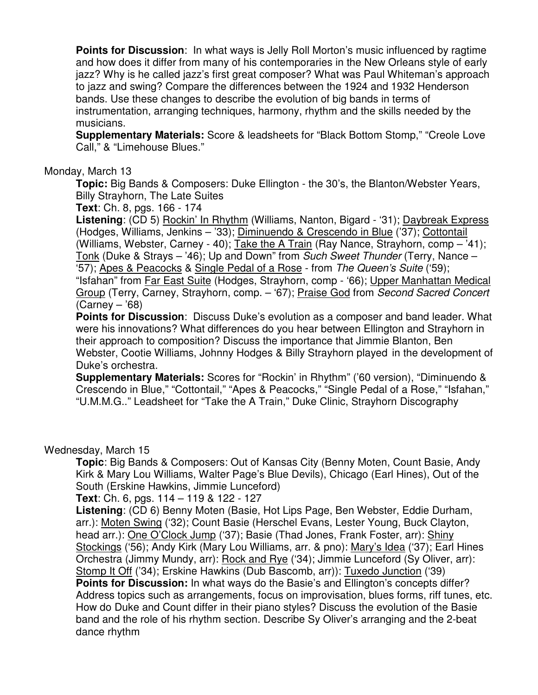**Points for Discussion**: In what ways is Jelly Roll Morton's music influenced by ragtime and how does it differ from many of his contemporaries in the New Orleans style of early jazz? Why is he called jazz's first great composer? What was Paul Whiteman's approach to jazz and swing? Compare the differences between the 1924 and 1932 Henderson bands. Use these changes to describe the evolution of big bands in terms of instrumentation, arranging techniques, harmony, rhythm and the skills needed by the musicians.

**Supplementary Materials:** Score & leadsheets for "Black Bottom Stomp," "Creole Love Call," & "Limehouse Blues."

#### Monday, March 13

**Topic:** Big Bands & Composers: Duke Ellington - the 30's, the Blanton/Webster Years, Billy Strayhorn, The Late Suites

**Text**: Ch. 8, pgs. 166 - 174

**Listening**: (CD 5) Rockin' In Rhythm (Williams, Nanton, Bigard - '31); Daybreak Express (Hodges, Williams, Jenkins – '33); Diminuendo & Crescendo in Blue ('37); Cottontail (Williams, Webster, Carney - 40); Take the A Train (Ray Nance, Strayhorn, comp – '41); Tonk (Duke & Strays – '46); Up and Down" from Such Sweet Thunder (Terry, Nance – '57); Apes & Peacocks & Single Pedal of a Rose - from The Queen's Suite ('59); "Isfahan" from Far East Suite (Hodges, Strayhorn, comp - '66); Upper Manhattan Medical Group (Terry, Carney, Strayhorn, comp. – '67); Praise God from Second Sacred Concert (Carney – '68)

**Points for Discussion**: Discuss Duke's evolution as a composer and band leader. What were his innovations? What differences do you hear between Ellington and Strayhorn in their approach to composition? Discuss the importance that Jimmie Blanton, Ben Webster, Cootie Williams, Johnny Hodges & Billy Strayhorn played in the development of Duke's orchestra.

**Supplementary Materials:** Scores for "Rockin' in Rhythm" ('60 version), "Diminuendo & Crescendo in Blue," "Cottontail," "Apes & Peacocks," "Single Pedal of a Rose," "Isfahan," "U.M.M.G.." Leadsheet for "Take the A Train," Duke Clinic, Strayhorn Discography

#### Wednesday, March 15

**Topic**: Big Bands & Composers: Out of Kansas City (Benny Moten, Count Basie, Andy Kirk & Mary Lou Williams, Walter Page's Blue Devils), Chicago (Earl Hines), Out of the South (Erskine Hawkins, Jimmie Lunceford)

#### **Text**: Ch. 6, pgs. 114 – 119 & 122 - 127

**Listening**: (CD 6) Benny Moten (Basie, Hot Lips Page, Ben Webster, Eddie Durham, arr.): Moten Swing ('32); Count Basie (Herschel Evans, Lester Young, Buck Clayton, head arr.): One O'Clock Jump ('37); Basie (Thad Jones, Frank Foster, arr): Shiny Stockings ('56); Andy Kirk (Mary Lou Williams, arr. & pno): Mary's Idea ('37); Earl Hines Orchestra (Jimmy Mundy, arr): Rock and Rye ('34); Jimmie Lunceford (Sy Oliver, arr): Stomp It Off ('34); Erskine Hawkins (Dub Bascomb, arr)): Tuxedo Junction ('39) **Points for Discussion:** In what ways do the Basie's and Ellington's concepts differ? Address topics such as arrangements, focus on improvisation, blues forms, riff tunes, etc. How do Duke and Count differ in their piano styles? Discuss the evolution of the Basie band and the role of his rhythm section. Describe Sy Oliver's arranging and the 2-beat dance rhythm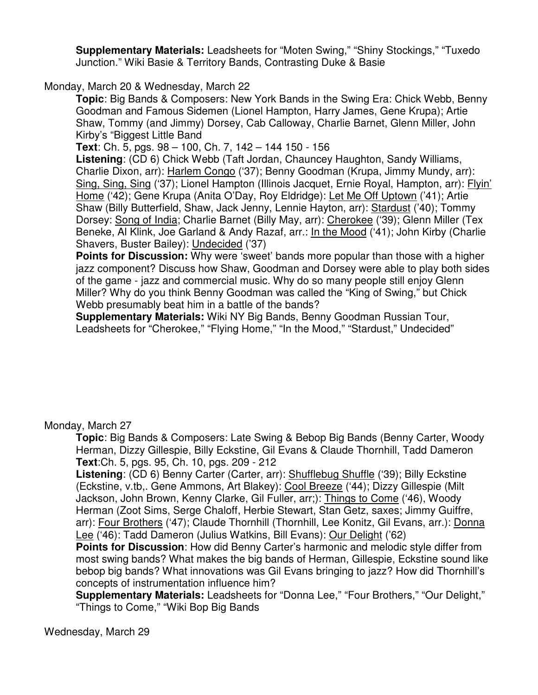**Supplementary Materials:** Leadsheets for "Moten Swing," "Shiny Stockings," "Tuxedo Junction." Wiki Basie & Territory Bands, Contrasting Duke & Basie

Monday, March 20 & Wednesday, March 22

**Topic**: Big Bands & Composers: New York Bands in the Swing Era: Chick Webb, Benny Goodman and Famous Sidemen (Lionel Hampton, Harry James, Gene Krupa); Artie Shaw, Tommy (and Jimmy) Dorsey, Cab Calloway, Charlie Barnet, Glenn Miller, John Kirby's "Biggest Little Band

**Text**: Ch. 5, pgs. 98 – 100, Ch. 7, 142 – 144 150 - 156

**Listening**: (CD 6) Chick Webb (Taft Jordan, Chauncey Haughton, Sandy Williams, Charlie Dixon, arr): Harlem Congo ('37); Benny Goodman (Krupa, Jimmy Mundy, arr): Sing, Sing, Sing ('37); Lionel Hampton (Illinois Jacquet, Ernie Royal, Hampton, arr): Flyin' Home ('42); Gene Krupa (Anita O'Day, Roy Eldridge): Let Me Off Uptown ('41); Artie Shaw (Billy Butterfield, Shaw, Jack Jenny, Lennie Hayton, arr): Stardust ('40); Tommy Dorsey: Song of India; Charlie Barnet (Billy May, arr): Cherokee ('39); Glenn Miller (Tex Beneke, Al Klink, Joe Garland & Andy Razaf, arr.: In the Mood ('41); John Kirby (Charlie Shavers, Buster Bailey): Undecided ('37)

**Points for Discussion:** Why were 'sweet' bands more popular than those with a higher jazz component? Discuss how Shaw, Goodman and Dorsey were able to play both sides of the game - jazz and commercial music. Why do so many people still enjoy Glenn Miller? Why do you think Benny Goodman was called the "King of Swing," but Chick Webb presumably beat him in a battle of the bands?

**Supplementary Materials:** Wiki NY Big Bands, Benny Goodman Russian Tour, Leadsheets for "Cherokee," "Flying Home," "In the Mood," "Stardust," Undecided"

Monday, March 27

**Topic**: Big Bands & Composers: Late Swing & Bebop Big Bands (Benny Carter, Woody Herman, Dizzy Gillespie, Billy Eckstine, Gil Evans & Claude Thornhill, Tadd Dameron **Text**:Ch. 5, pgs. 95, Ch. 10, pgs. 209 - 212

**Listening**: (CD 6) Benny Carter (Carter, arr): Shufflebug Shuffle ('39); Billy Eckstine (Eckstine, v.tb,. Gene Ammons, Art Blakey): Cool Breeze ('44); Dizzy Gillespie (Milt Jackson, John Brown, Kenny Clarke, Gil Fuller, arr;): Things to Come ('46), Woody Herman (Zoot Sims, Serge Chaloff, Herbie Stewart, Stan Getz, saxes; Jimmy Guiffre, arr): Four Brothers ('47); Claude Thornhill (Thornhill, Lee Konitz, Gil Evans, arr.): Donna Lee ('46): Tadd Dameron (Julius Watkins, Bill Evans): Our Delight ('62)

**Points for Discussion**: How did Benny Carter's harmonic and melodic style differ from most swing bands? What makes the big bands of Herman, Gillespie, Eckstine sound like bebop big bands? What innovations was Gil Evans bringing to jazz? How did Thornhill's concepts of instrumentation influence him?

**Supplementary Materials:** Leadsheets for "Donna Lee," "Four Brothers," "Our Delight," "Things to Come," "Wiki Bop Big Bands

Wednesday, March 29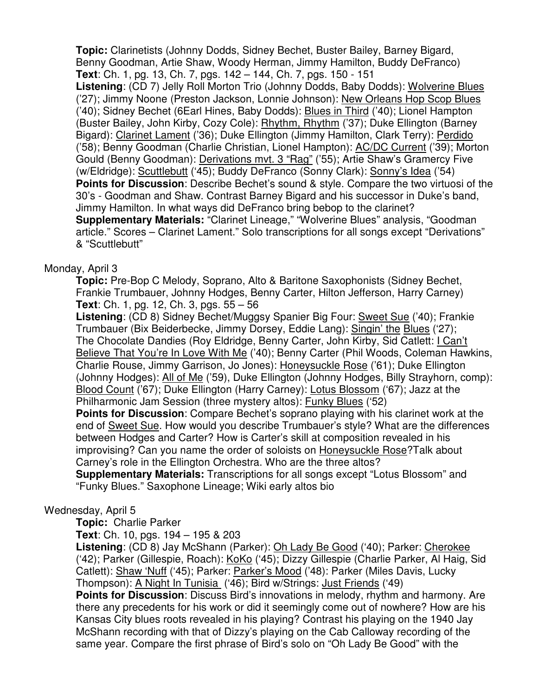**Topic:** Clarinetists (Johnny Dodds, Sidney Bechet, Buster Bailey, Barney Bigard, Benny Goodman, Artie Shaw, Woody Herman, Jimmy Hamilton, Buddy DeFranco) **Text**: Ch. 1, pg. 13, Ch. 7, pgs. 142 – 144, Ch. 7, pgs. 150 - 151

**Listening**: (CD 7) Jelly Roll Morton Trio (Johnny Dodds, Baby Dodds): Wolverine Blues ('27); Jimmy Noone (Preston Jackson, Lonnie Johnson): New Orleans Hop Scop Blues ('40); Sidney Bechet (6Earl Hines, Baby Dodds): Blues in Third ('40); Lionel Hampton (Buster Bailey, John Kirby, Cozy Cole): Rhythm, Rhythm ('37); Duke Ellington (Barney Bigard): Clarinet Lament ('36); Duke Ellington (Jimmy Hamilton, Clark Terry): Perdido ('58); Benny Goodman (Charlie Christian, Lionel Hampton): AC/DC Current ('39); Morton Gould (Benny Goodman): Derivations mvt. 3 "Rag" ('55); Artie Shaw's Gramercy Five (w/Eldridge): Scuttlebutt ('45); Buddy DeFranco (Sonny Clark): Sonny's Idea ('54) **Points for Discussion**: Describe Bechet's sound & style. Compare the two virtuosi of the 30's - Goodman and Shaw. Contrast Barney Bigard and his successor in Duke's band, Jimmy Hamilton. In what ways did DeFranco bring bebop to the clarinet? **Supplementary Materials:** "Clarinet Lineage," "Wolverine Blues" analysis, "Goodman article." Scores – Clarinet Lament." Solo transcriptions for all songs except "Derivations" & "Scuttlebutt"

# Monday, April 3

**Topic:** Pre-Bop C Melody, Soprano, Alto & Baritone Saxophonists (Sidney Bechet, Frankie Trumbauer, Johnny Hodges, Benny Carter, Hilton Jefferson, Harry Carney) **Text**: Ch. 1, pg. 12, Ch. 3, pgs. 55 – 56

**Listening**: (CD 8) Sidney Bechet/Muggsy Spanier Big Four: Sweet Sue ('40); Frankie Trumbauer (Bix Beiderbecke, Jimmy Dorsey, Eddie Lang): Singin' the Blues ('27); The Chocolate Dandies (Roy Eldridge, Benny Carter, John Kirby, Sid Catlett: I Can't Believe That You're In Love With Me ('40); Benny Carter (Phil Woods, Coleman Hawkins, Charlie Rouse, Jimmy Garrison, Jo Jones): Honeysuckle Rose ('61); Duke Ellington (Johnny Hodges): All of Me ('59), Duke Ellington (Johnny Hodges, Billy Strayhorn, comp): Blood Count ('67); Duke Ellington (Harry Carney): Lotus Blossom ('67); Jazz at the Philharmonic Jam Session (three mystery altos): Funky Blues ('52)

**Points for Discussion**: Compare Bechet's soprano playing with his clarinet work at the end of Sweet Sue. How would you describe Trumbauer's style? What are the differences between Hodges and Carter? How is Carter's skill at composition revealed in his improvising? Can you name the order of soloists on Honeysuckle Rose?Talk about Carney's role in the Ellington Orchestra. Who are the three altos?

**Supplementary Materials:** Transcriptions for all songs except "Lotus Blossom" and "Funky Blues." Saxophone Lineage; Wiki early altos bio

# Wednesday, April 5

**Topic:** Charlie Parker

**Text**: Ch. 10, pgs. 194 – 195 & 203

Listening: (CD 8) Jay McShann (Parker): Oh Lady Be Good ('40); Parker: Cherokee ('42); Parker (Gillespie, Roach): KoKo ('45); Dizzy Gillespie (Charlie Parker, Al Haig, Sid Catlett): Shaw 'Nuff ('45); Parker: Parker's Mood ('48): Parker (Miles Davis, Lucky Thompson): A Night In Tunisia ('46); Bird w/Strings: Just Friends ('49)

**Points for Discussion**: Discuss Bird's innovations in melody, rhythm and harmony. Are there any precedents for his work or did it seemingly come out of nowhere? How are his Kansas City blues roots revealed in his playing? Contrast his playing on the 1940 Jay McShann recording with that of Dizzy's playing on the Cab Calloway recording of the same year. Compare the first phrase of Bird's solo on "Oh Lady Be Good" with the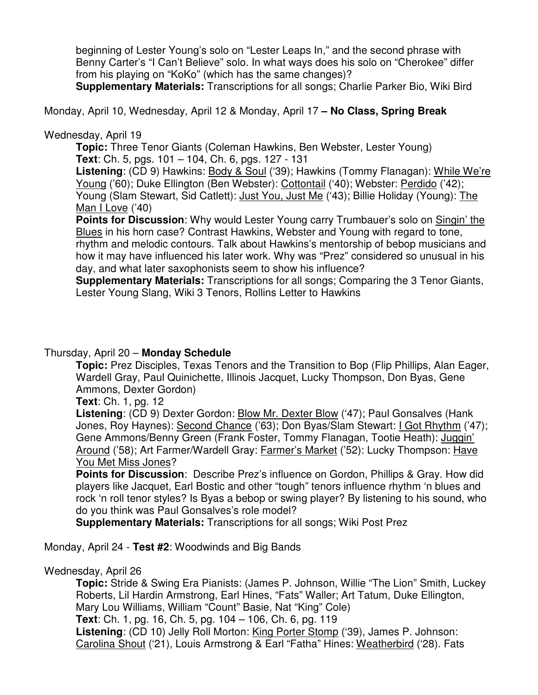beginning of Lester Young's solo on "Lester Leaps In," and the second phrase with Benny Carter's "I Can't Believe" solo. In what ways does his solo on "Cherokee" differ from his playing on "KoKo" (which has the same changes)?

**Supplementary Materials:** Transcriptions for all songs; Charlie Parker Bio, Wiki Bird

Monday, April 10, Wednesday, April 12 & Monday, April 17 **– No Class, Spring Break**

# Wednesday, April 19

**Topic:** Three Tenor Giants (Coleman Hawkins, Ben Webster, Lester Young) **Text**: Ch. 5, pgs. 101 – 104, Ch. 6, pgs. 127 - 131

Listening: (CD 9) Hawkins: Body & Soul ('39); Hawkins (Tommy Flanagan): While We're Young ('60); Duke Ellington (Ben Webster): Cottontail ('40); Webster: Perdido ('42); Young (Slam Stewart, Sid Catlett): Just You, Just Me ('43); Billie Holiday (Young): The Man I Love ('40)

**Points for Discussion**: Why would Lester Young carry Trumbauer's solo on Singin' the Blues in his horn case? Contrast Hawkins, Webster and Young with regard to tone, rhythm and melodic contours. Talk about Hawkins's mentorship of bebop musicians and how it may have influenced his later work. Why was "Prez" considered so unusual in his day, and what later saxophonists seem to show his influence?

**Supplementary Materials:** Transcriptions for all songs; Comparing the 3 Tenor Giants, Lester Young Slang, Wiki 3 Tenors, Rollins Letter to Hawkins

# Thursday, April 20 – **Monday Schedule**

**Topic:** Prez Disciples, Texas Tenors and the Transition to Bop (Flip Phillips, Alan Eager, Wardell Gray, Paul Quinichette, Illinois Jacquet, Lucky Thompson, Don Byas, Gene Ammons, Dexter Gordon)

**Text**: Ch. 1, pg. 12

**Listening**: (CD 9) Dexter Gordon: Blow Mr. Dexter Blow ('47); Paul Gonsalves (Hank Jones, Roy Haynes): Second Chance ('63); Don Byas/Slam Stewart: I Got Rhythm ('47); Gene Ammons/Benny Green (Frank Foster, Tommy Flanagan, Tootie Heath): Juggin' Around ('58); Art Farmer/Wardell Gray: Farmer's Market ('52): Lucky Thompson: Have You Met Miss Jones?

**Points for Discussion**: Describe Prez's influence on Gordon, Phillips & Gray. How did players like Jacquet, Earl Bostic and other "tough" tenors influence rhythm 'n blues and rock 'n roll tenor styles? Is Byas a bebop or swing player? By listening to his sound, who do you think was Paul Gonsalves's role model?

**Supplementary Materials:** Transcriptions for all songs; Wiki Post Prez

Monday, April 24 - **Test #2**: Woodwinds and Big Bands

# Wednesday, April 26

**Topic:** Stride & Swing Era Pianists: (James P. Johnson, Willie "The Lion" Smith, Luckey Roberts, Lil Hardin Armstrong, Earl Hines, "Fats" Waller; Art Tatum, Duke Ellington, Mary Lou Williams, William "Count" Basie, Nat "King" Cole) **Text**: Ch. 1, pg. 16, Ch. 5, pg. 104 – 106, Ch. 6, pg. 119 **Listening**: (CD 10) Jelly Roll Morton: King Porter Stomp ('39), James P. Johnson: Carolina Shout ('21), Louis Armstrong & Earl "Fatha" Hines: Weatherbird ('28). Fats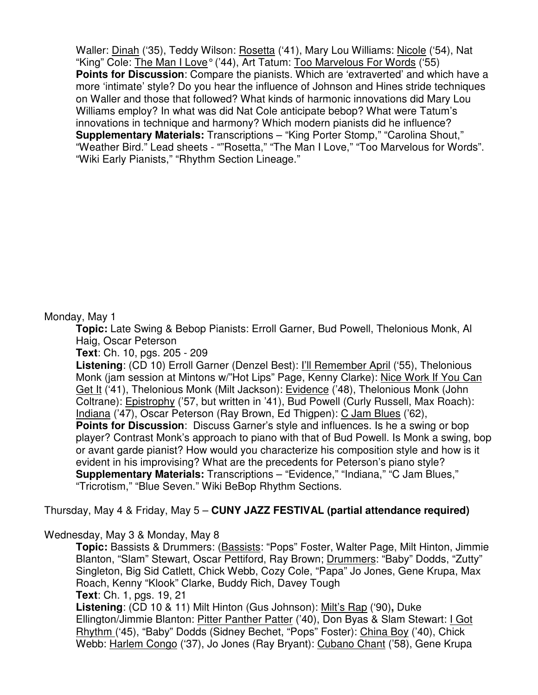Waller: Dinah ('35), Teddy Wilson: Rosetta ('41), Mary Lou Williams: Nicole ('54), Nat "King" Cole: The Man I Love° ('44), Art Tatum: Too Marvelous For Words ('55) **Points for Discussion**: Compare the pianists. Which are 'extraverted' and which have a more 'intimate' style? Do you hear the influence of Johnson and Hines stride techniques on Waller and those that followed? What kinds of harmonic innovations did Mary Lou Williams employ? In what was did Nat Cole anticipate bebop? What were Tatum's innovations in technique and harmony? Which modern pianists did he influence? **Supplementary Materials:** Transcriptions – "King Porter Stomp," "Carolina Shout," "Weather Bird." Lead sheets - ""Rosetta," "The Man I Love," "Too Marvelous for Words". "Wiki Early Pianists," "Rhythm Section Lineage."

#### Monday, May 1

**Topic:** Late Swing & Bebop Pianists: Erroll Garner, Bud Powell, Thelonious Monk, Al Haig, Oscar Peterson

**Text**: Ch. 10, pgs. 205 - 209

**Listening**: (CD 10) Erroll Garner (Denzel Best): I'll Remember April ('55), Thelonious Monk (jam session at Mintons w/"Hot Lips" Page, Kenny Clarke): Nice Work If You Can Get It ('41), Thelonious Monk (Milt Jackson): Evidence ('48), Thelonious Monk (John Coltrane): Epistrophy ('57, but written in '41), Bud Powell (Curly Russell, Max Roach): Indiana ('47), Oscar Peterson (Ray Brown, Ed Thigpen): C Jam Blues ('62), **Points for Discussion**: Discuss Garner's style and influences. Is he a swing or bop player? Contrast Monk's approach to piano with that of Bud Powell. Is Monk a swing, bop or avant garde pianist? How would you characterize his composition style and how is it evident in his improvising? What are the precedents for Peterson's piano style? **Supplementary Materials:** Transcriptions – "Evidence," "Indiana," "C Jam Blues," "Tricrotism," "Blue Seven." Wiki BeBop Rhythm Sections.

### Thursday, May 4 & Friday, May 5 – **CUNY JAZZ FESTIVAL (partial attendance required)**

### Wednesday, May 3 & Monday, May 8

**Topic:** Bassists & Drummers: (Bassists: "Pops" Foster, Walter Page, Milt Hinton, Jimmie Blanton, "Slam" Stewart, Oscar Pettiford, Ray Brown; Drummers: "Baby" Dodds, "Zutty" Singleton, Big Sid Catlett, Chick Webb, Cozy Cole, "Papa" Jo Jones, Gene Krupa, Max Roach, Kenny "Klook" Clarke, Buddy Rich, Davey Tough **Text**: Ch. 1, pgs. 19, 21

**Listening**: (CD 10 & 11) Milt Hinton (Gus Johnson): Milt's Rap ('90)**,** Duke Ellington/Jimmie Blanton: Pitter Panther Patter ('40), Don Byas & Slam Stewart: I Got Rhythm ('45), "Baby" Dodds (Sidney Bechet, "Pops" Foster): China Boy ('40), Chick Webb: Harlem Congo ('37), Jo Jones (Ray Bryant): Cubano Chant ('58), Gene Krupa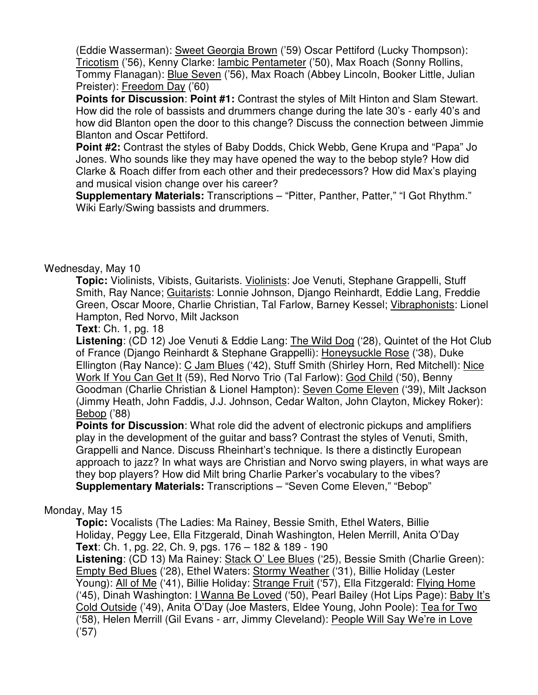(Eddie Wasserman): Sweet Georgia Brown ('59) Oscar Pettiford (Lucky Thompson): Tricotism ('56), Kenny Clarke: Iambic Pentameter ('50), Max Roach (Sonny Rollins, Tommy Flanagan): Blue Seven ('56), Max Roach (Abbey Lincoln, Booker Little, Julian Preister): Freedom Day ('60)

**Points for Discussion**: **Point #1:** Contrast the styles of Milt Hinton and Slam Stewart. How did the role of bassists and drummers change during the late 30's - early 40's and how did Blanton open the door to this change? Discuss the connection between Jimmie Blanton and Oscar Pettiford.

**Point #2:** Contrast the styles of Baby Dodds, Chick Webb, Gene Krupa and "Papa" Jo Jones. Who sounds like they may have opened the way to the bebop style? How did Clarke & Roach differ from each other and their predecessors? How did Max's playing and musical vision change over his career?

**Supplementary Materials:** Transcriptions – "Pitter, Panther, Patter," "I Got Rhythm." Wiki Early/Swing bassists and drummers.

# Wednesday, May 10

**Topic:** Violinists, Vibists, Guitarists. Violinists: Joe Venuti, Stephane Grappelli, Stuff Smith, Ray Nance; Guitarists: Lonnie Johnson, Django Reinhardt, Eddie Lang, Freddie Green, Oscar Moore, Charlie Christian, Tal Farlow, Barney Kessel; Vibraphonists: Lionel Hampton, Red Norvo, Milt Jackson

**Text**: Ch. 1, pg. 18

**Listening**: (CD 12) Joe Venuti & Eddie Lang: The Wild Dog ('28), Quintet of the Hot Club of France (Django Reinhardt & Stephane Grappelli): Honeysuckle Rose ('38), Duke Ellington (Ray Nance): C Jam Blues ('42), Stuff Smith (Shirley Horn, Red Mitchell): Nice Work If You Can Get It (59), Red Norvo Trio (Tal Farlow): God Child ('50), Benny Goodman (Charlie Christian & Lionel Hampton): Seven Come Eleven ('39), Milt Jackson (Jimmy Heath, John Faddis, J.J. Johnson, Cedar Walton, John Clayton, Mickey Roker): Bebop ('88)

**Points for Discussion:** What role did the advent of electronic pickups and amplifiers play in the development of the guitar and bass? Contrast the styles of Venuti, Smith, Grappelli and Nance. Discuss Rheinhart's technique. Is there a distinctly European approach to jazz? In what ways are Christian and Norvo swing players, in what ways are they bop players? How did Milt bring Charlie Parker's vocabulary to the vibes? **Supplementary Materials:** Transcriptions – "Seven Come Eleven," "Bebop"

# Monday, May 15

**Topic:** Vocalists (The Ladies: Ma Rainey, Bessie Smith, Ethel Waters, Billie Holiday, Peggy Lee, Ella Fitzgerald, Dinah Washington, Helen Merrill, Anita O'Day **Text**: Ch. 1, pg. 22, Ch. 9, pgs. 176 – 182 & 189 - 190

Listening: (CD 13) Ma Rainey: Stack O' Lee Blues ('25), Bessie Smith (Charlie Green): Empty Bed Blues ('28), Ethel Waters: Stormy Weather ('31), Billie Holiday (Lester Young): All of Me ('41), Billie Holiday: Strange Fruit ('57), Ella Fitzgerald: Flying Home ('45), Dinah Washington: I Wanna Be Loved ('50), Pearl Bailey (Hot Lips Page): Baby It's Cold Outside ('49), Anita O'Day (Joe Masters, Eldee Young, John Poole): Tea for Two ('58), Helen Merrill (Gil Evans - arr, Jimmy Cleveland): People Will Say We're in Love ('57)